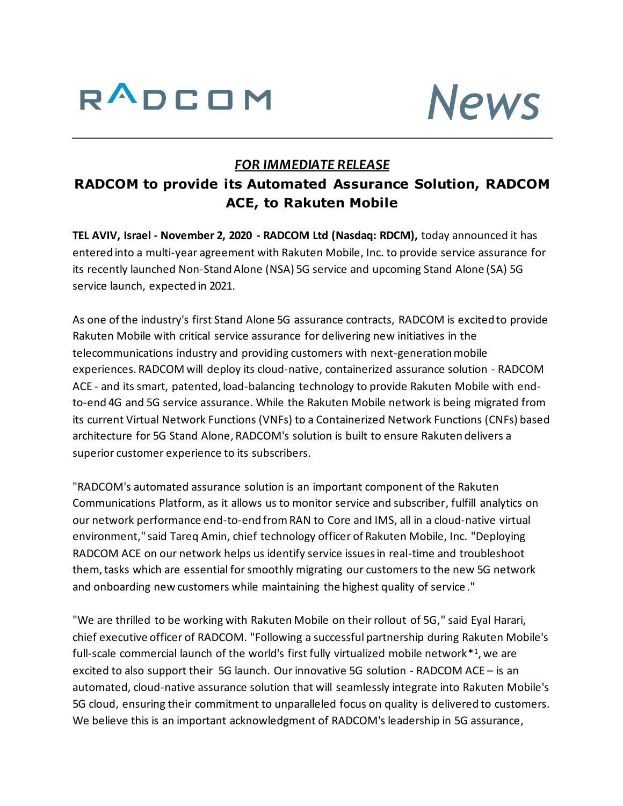



## *FOR IMMEDIATE RELEASE*

# **RADCOM to provide its Automated Assurance Solution, RADCOM ACE, to Rakuten Mobile**

**TEL AVIV, Israel - November 2, 2020 - RADCOM Ltd (Nasdaq: RDCM),** today announced it has entered into a multi-year agreement with Rakuten Mobile, Inc. to provide service assurance for its recently launched Non-Stand Alone (NSA) 5G service and upcoming Stand Alone (SA) 5G service launch, expected in 2021.

As one of the industry's first Stand Alone 5G assurance contracts, RADCOM is excited to provide Rakuten Mobile with critical service assurance for delivering new initiatives in the telecommunications industry and providing customers with next-generation mobile experiences. RADCOM will deploy its cloud-native, containerized assurance solution - RADCOM ACE - and its smart, patented, load-balancing technology to provide Rakuten Mobile with endto-end 4G and 5G service assurance. While the Rakuten Mobile network is being migrated from its current Virtual Network Functions (VNFs) to a Containerized Network Functions (CNFs) based architecture for 5G Stand Alone, RADCOM's solution is built to ensure Rakuten delivers a superior customer experience to its subscribers.

"RADCOM's automated assurance solution is an important component of the Rakuten Communications Platform, as it allows us to monitor service and subscriber, fulfill analytics on our network performance end-to-end from RAN to Core and IMS, all in a cloud-native virtual environment," said Tareq Amin, chief technology officer of Rakuten Mobile, Inc. "Deploying RADCOM ACE on our network helps us identify service issues in real-time and troubleshoot them, tasks which are essential for smoothly migrating our customers to the new 5G network and onboarding new customers while maintaining the highest quality of service ."

"We are thrilled to be working with Rakuten Mobile on their rollout of 5G," said Eyal Harari, chief executive officer of RADCOM. "Following a successful partnership during Rakuten Mobile's full-scale commercial launch of the world's first fully virtualized mobile network<sup>\*1</sup>, we are excited to also support their 5G launch. Our innovative 5G solution - RADCOM ACE – is an automated, cloud-native assurance solution that will seamlessly integrate into Rakuten Mobile's 5G cloud, ensuring their commitment to unparalleled focus on quality is delivered to customers. We believe this is an important acknowledgment of RADCOM's leadership in 5G assurance,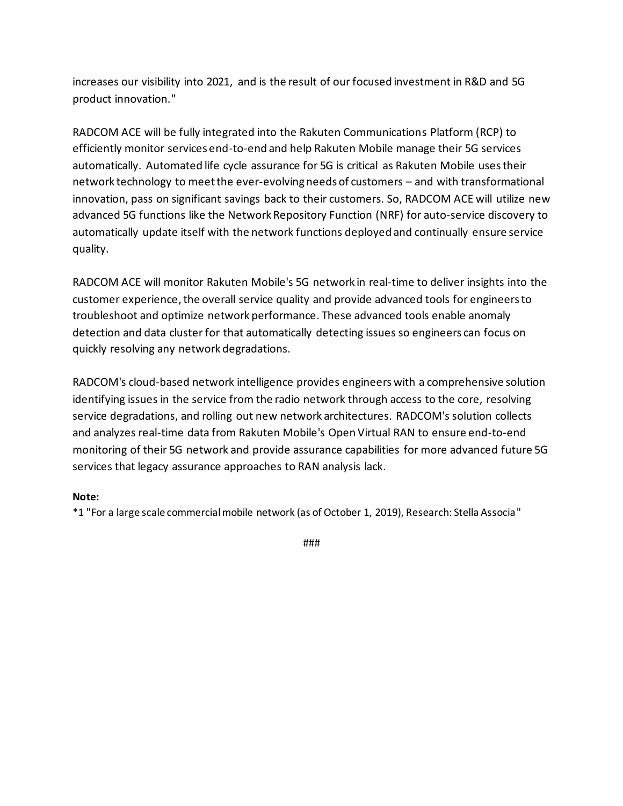increases our visibility into 2021, and is the result of our focused investment in R&D and 5G product innovation."

RADCOM ACE will be fully integrated into the Rakuten Communications Platform (RCP) to efficiently monitor services end-to-end and help Rakuten Mobile manage their 5G services automatically. Automated life cycle assurance for 5G is critical as Rakuten Mobile uses their network technology to meet the ever-evolving needs of customers – and with transformational innovation, pass on significant savings back to their customers. So, RADCOM ACE will utilize new advanced 5G functions like the Network Repository Function (NRF) for auto-service discovery to automatically update itself with the network functions deployed and continually ensure service quality.

RADCOM ACE will monitor Rakuten Mobile's 5G network in real-time to deliver insights into the customer experience, the overall service quality and provide advanced tools for engineers to troubleshoot and optimize network performance. These advanced tools enable anomaly detection and data cluster for that automatically detecting issues so engineers can focus on quickly resolving any network degradations.

RADCOM's cloud-based network intelligence provides engineers with a comprehensive solution identifying issues in the service from the radio network through access to the core, resolving service degradations, and rolling out new network architectures. RADCOM's solution collects and analyzes real-time data from Rakuten Mobile's Open Virtual RAN to ensure end-to-end monitoring of their 5G network and provide assurance capabilities for more advanced future 5G services that legacy assurance approaches to RAN analysis lack.

### **Note:**

\*1 "For a large scale commercial mobile network (as of October 1, 2019), Research: Stella Associa"

###